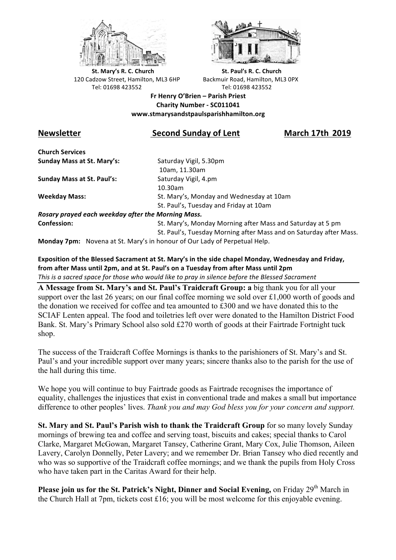



**St.** Mary's R. C. Church St. Paul's R. C. Church 120 Cadzow Street, Hamilton, ML3 6HP Backmuir Road, Hamilton, ML3 0PX Tel: 01698 423552 Tel: 01698 423552

**Fr Henry O'Brien – Parish Priest Charity Number - SC011041 www.stmarysandstpaulsparishhamilton.org**

# Newsletter Second Sunday of Lent March 17th 2019

**Church Services Sunday Mass at St. Mary's:** Saturday Vigil, 5.30pm

**Sunday Mass at St. Paul's:** Saturday Vigil, 4.pm

 10am, 11.30am 10.30am **Weekday Mass:** St. Mary's, Monday and Wednesday at 10am St. Paul's, Tuesday and Friday at 10am

*Rosary prayed each weekday after the Morning Mass.* **Confession:** St. Mary's, Monday Morning after Mass and Saturday at 5 pm

St. Paul's, Tuesday Morning after Mass and on Saturday after Mass.

**Monday 7pm:** Novena at St. Mary's in honour of Our Lady of Perpetual Help.

## Exposition of the Blessed Sacrament at St. Mary's in the side chapel Monday, Wednesday and Friday, from after Mass until 2pm, and at St. Paul's on a Tuesday from after Mass until 2pm

This is a sacred space for those who would like to pray in silence before the Blessed Sacrament

**A Message from St. Mary's and St. Paul's Traidcraft Group: a** big thank you for all your support over the last 26 years; on our final coffee morning we sold over £1,000 worth of goods and the donation we received for coffee and tea amounted to £300 and we have donated this to the SCIAF Lenten appeal. The food and toiletries left over were donated to the Hamilton District Food Bank. St. Mary's Primary School also sold £270 worth of goods at their Fairtrade Fortnight tuck shop.

The success of the Traidcraft Coffee Mornings is thanks to the parishioners of St. Mary's and St. Paul's and your incredible support over many years; sincere thanks also to the parish for the use of the hall during this time.

We hope you will continue to buy Fairtrade goods as Fairtrade recognises the importance of equality, challenges the injustices that exist in conventional trade and makes a small but importance difference to other peoples' lives. *Thank you and may God bless you for your concern and support.*

**St. Mary and St. Paul's Parish wish to thank the Traidcraft Group** for so many lovely Sunday mornings of brewing tea and coffee and serving toast, biscuits and cakes; special thanks to Carol Clarke, Margaret McGowan, Margaret Tansey, Catherine Grant, Mary Cox, Julie Thomson, Aileen Lavery, Carolyn Donnelly, Peter Lavery; and we remember Dr. Brian Tansey who died recently and who was so supportive of the Traidcraft coffee mornings; and we thank the pupils from Holy Cross who have taken part in the Caritas Award for their help.

**Please join us for the St. Patrick's Night, Dinner and Social Evening, on Friday 29<sup>th</sup> March in** the Church Hall at 7pm, tickets cost £16; you will be most welcome for this enjoyable evening.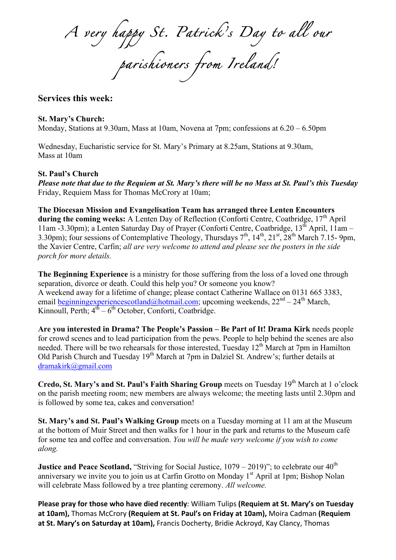*A very happy St. Patrick's Day to all our parishioners from Ireland!* 

## **Services this week:**

#### **St. Mary's Church:**

Monday, Stations at 9.30am, Mass at 10am, Novena at 7pm; confessions at 6.20 – 6.50pm

Wednesday, Eucharistic service for St. Mary's Primary at 8.25am, Stations at 9.30am, Mass at 10am

### **St. Paul's Church**

*Please note that due to the Requiem at St. Mary's there will be no Mass at St. Paul's this Tuesday* Friday, Requiem Mass for Thomas McCrory at 10am;

**The Diocesan Mission and Evangelisation Team has arranged three Lenten Encounters**  during the coming weeks: A Lenten Day of Reflection (Conforti Centre, Coatbridge, 17<sup>th</sup> April 11am -3.30pm); a Lenten Saturday Day of Prayer (Conforti Centre, Coatbridge, 13<sup>th</sup> April, 11am – 3.30pm); four sessions of Contemplative Theology, Thursdays  $7<sup>th</sup>$ ,  $14<sup>th</sup>$ ,  $21<sup>st</sup>$ ,  $28<sup>th</sup>$  March 7.15- 9pm, the Xavier Centre, Carfin; *all are very welcome to attend and please see the posters in the side porch for more details.*

**The Beginning Experience** is a ministry for those suffering from the loss of a loved one through separation, divorce or death. Could this help you? Or someone you know? A weekend away for a lifetime of change; please contact Catherine Wallace on 0131 665 3383, email **beginningexperiencescotland@hotmail.com**; upcoming weekends,  $22^{nd} - 24^{th}$  March, Kinnoull, Perth;  $4^{th} - 6^{th}$  October, Conforti, Coatbridge.

**Are you interested in Drama? The People's Passion – Be Part of It! Drama Kirk** needs people for crowd scenes and to lead participation from the pews. People to help behind the scenes are also needed. There will be two rehearsals for those interested, Tuesday 12<sup>th</sup> March at 7pm in Hamilton Old Parish Church and Tuesday 19<sup>th</sup> March at 7pm in Dalziel St. Andrew's; further details at dramakirk@gmail.com

Credo, St. Mary's and St. Paul's Faith Sharing Group meets on Tuesday 19<sup>th</sup> March at 1 o'clock on the parish meeting room; new members are always welcome; the meeting lasts until 2.30pm and is followed by some tea, cakes and conversation!

**St. Mary's and St. Paul's Walking Group** meets on a Tuesday morning at 11 am at the Museum at the bottom of Muir Street and then walks for 1 hour in the park and returns to the Museum café for some tea and coffee and conversation. *You will be made very welcome if you wish to come along.*

**Justice and Peace Scotland,** "Striving for Social Justice,  $1079 - 2019$ "; to celebrate our  $40<sup>th</sup>$ anniversary we invite you to join us at Carfin Grotto on Monday  $1<sup>st</sup>$  April at 1pm; Bishop Nolan will celebrate Mass followed by a tree planting ceremony. *All welcome.*

**Please pray for those who have died recently:** William Tulips (Requiem at St. Mary's on Tuesday at 10am), Thomas McCrory (Requiem at St. Paul's on Friday at 10am), Moira Cadman (Requiem at St. Mary's on Saturday at 10am), Francis Docherty, Bridie Ackroyd, Kay Clancy, Thomas